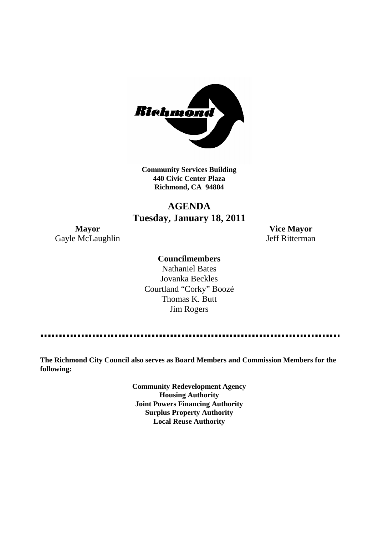

**Community Services Building 440 Civic Center Plaza Richmond, CA 94804**

## **AGENDA Tuesday, January 18, 2011**

Gayle McLaughlin Jeff Ritterman

**Mayor Vice Mayor**

#### **Councilmembers**

Nathaniel Bates Jovanka Beckles Courtland "Corky" Boozé Thomas K. Butt Jim Rogers

**The Richmond City Council also serves as Board Members and Commission Members for the following:**

> **Community Redevelopment Agency Housing Authority Joint Powers Financing Authority Surplus Property Authority Local Reuse Authority**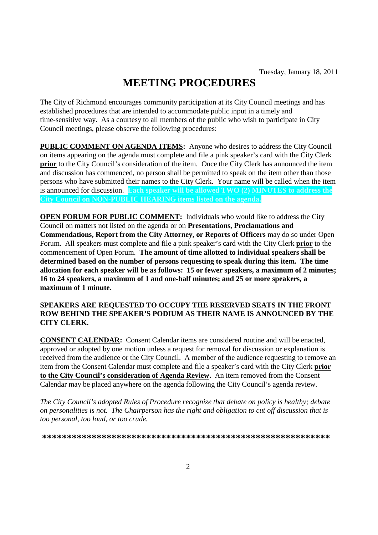# **MEETING PROCEDURES**

The City of Richmond encourages community participation at its City Council meetings and has established procedures that are intended to accommodate public input in a timely and time-sensitive way. As a courtesy to all members of the public who wish to participate in City Council meetings, please observe the following procedures:

**PUBLIC COMMENT ON AGENDA ITEMS:** Anyone who desires to address the City Council on items appearing on the agenda must complete and file a pink speaker's card with the City Clerk **prior** to the City Council's consideration of the item. Once the City Clerk has announced the item and discussion has commenced, no person shall be permitted to speak on the item other than those persons who have submitted their names to the City Clerk. Your name will be called when the item is announced for discussion. **Each speaker will be allowed TWO (2) MINUTES to address the City Council on NON-PUBLIC HEARING items listed on the agenda.**

**OPEN FORUM FOR PUBLIC COMMENT:** Individuals who would like to address the City Council on matters not listed on the agenda or on **Presentations, Proclamations and Commendations, Report from the City Attorney, or Reports of Officers** may do so under Open Forum. All speakers must complete and file a pink speaker's card with the City Clerk **prior** to the commencement of Open Forum. **The amount of time allotted to individual speakers shall be determined based on the number of persons requesting to speak during this item. The time allocation for each speaker will be as follows: 15 or fewer speakers, a maximum of 2 minutes; 16 to 24 speakers, a maximum of 1 and one-half minutes; and 25 or more speakers, a maximum of 1 minute.**

#### **SPEAKERS ARE REQUESTED TO OCCUPY THE RESERVED SEATS IN THE FRONT ROW BEHIND THE SPEAKER'S PODIUM AS THEIR NAME IS ANNOUNCED BY THE CITY CLERK.**

**CONSENT CALENDAR:** Consent Calendar items are considered routine and will be enacted, approved or adopted by one motion unless a request for removal for discussion or explanation is received from the audience or the City Council. A member of the audience requesting to remove an item from the Consent Calendar must complete and file a speaker's card with the City Clerk **prior to the City Council's consideration of Agenda Review.** An item removed from the Consent Calendar may be placed anywhere on the agenda following the City Council's agenda review.

*The City Council's adopted Rules of Procedure recognize that debate on policy is healthy; debate on personalities is not. The Chairperson has the right and obligation to cut off discussion that is too personal, too loud, or too crude.*

**\*\*\*\*\*\*\*\*\*\*\*\*\*\*\*\*\*\*\*\*\*\*\*\*\*\*\*\*\*\*\*\*\*\*\*\*\*\*\*\*\*\*\*\*\*\*\*\*\*\*\*\*\*\*\*\*\*\***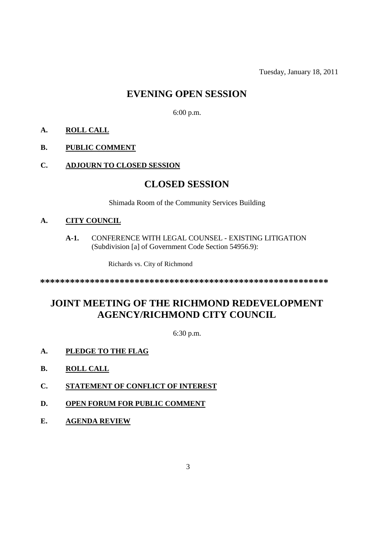Tuesday, January 18, 2011

## **EVENING OPEN SESSION**

6:00 p.m.

- **A. ROLL CALL**
- **B. PUBLIC COMMENT**
- **C. ADJOURN TO CLOSED SESSION**

### **CLOSED SESSION**

Shimada Room of the Community Services Building

#### **A. CITY COUNCIL**

**A-1.** CONFERENCE WITH LEGAL COUNSEL - EXISTING LITIGATION (Subdivision [a] of Government Code Section 54956.9):

Richards vs. City of Richmond

**\*\*\*\*\*\*\*\*\*\*\*\*\*\*\*\*\*\*\*\*\*\*\*\*\*\*\*\*\*\*\*\*\*\*\*\*\*\*\*\*\*\*\*\*\*\*\*\*\*\*\*\*\*\*\*\*\*\***

# **JOINT MEETING OF THE RICHMOND REDEVELOPMENT AGENCY/RICHMOND CITY COUNCIL**

6:30 p.m.

- **A. PLEDGE TO THE FLAG**
- **B. ROLL CALL**
- **C. STATEMENT OF CONFLICT OF INTEREST**
- **D. OPEN FORUM FOR PUBLIC COMMENT**
- **E. AGENDA REVIEW**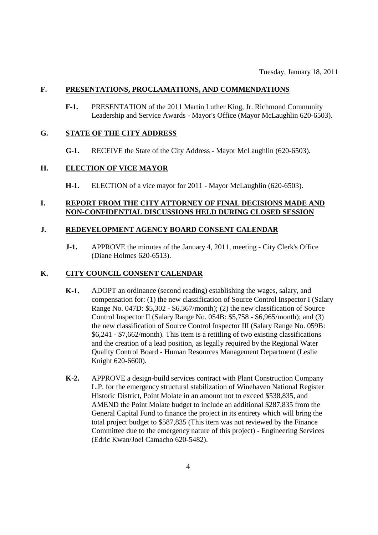#### **F. PRESENTATIONS, PROCLAMATIONS, AND COMMENDATIONS**

**F-1.** PRESENTATION of the 2011 Martin Luther King, Jr. Richmond Community Leadership and Service Awards - Mayor's Office (Mayor McLaughlin 620-6503).

#### **G. STATE OF THE CITY ADDRESS**

**G-1.** RECEIVE the State of the City Address - Mayor McLaughlin (620-6503).

#### **H. ELECTION OF VICE MAYOR**

**H-1.** ELECTION of a vice mayor for 2011 - Mayor McLaughlin (620-6503).

#### **I. REPORT FROM THE CITY ATTORNEY OF FINAL DECISIONS MADE AND NON-CONFIDENTIAL DISCUSSIONS HELD DURING CLOSED SESSION**

#### **J. REDEVELOPMENT AGENCY BOARD CONSENT CALENDAR**

**J-1.** APPROVE the minutes of the January 4, 2011, meeting - City Clerk's Office (Diane Holmes 620-6513).

#### **K. CITY COUNCIL CONSENT CALENDAR**

- **K-1.** ADOPT an ordinance (second reading) establishing the wages, salary, and compensation for: (1) the new classification of Source Control Inspector I (Salary Range No. 047D: \$5,302 - \$6,367/month); (2) the new classification of Source Control Inspector II (Salary Range No. 054B: \$5,758 - \$6,965/month); and (3) the new classification of Source Control Inspector III (Salary Range No. 059B: \$6,241 - \$7,662/month). This item is a retitling of two existing classifications and the creation of a lead position, as legally required by the Regional Water Quality Control Board - Human Resources Management Department (Leslie Knight 620-6600).
- **K-2.** APPROVE a design-build services contract with Plant Construction Company L.P. for the emergency structural stabilization of Winehaven National Register Historic District, Point Molate in an amount not to exceed \$538,835, and AMEND the Point Molate budget to include an additional \$287,835 from the General Capital Fund to finance the project in its entirety which will bring the total project budget to \$587,835 (This item was not reviewed by the Finance Committee due to the emergency nature of this project) - Engineering Services (Edric Kwan/Joel Camacho 620-5482).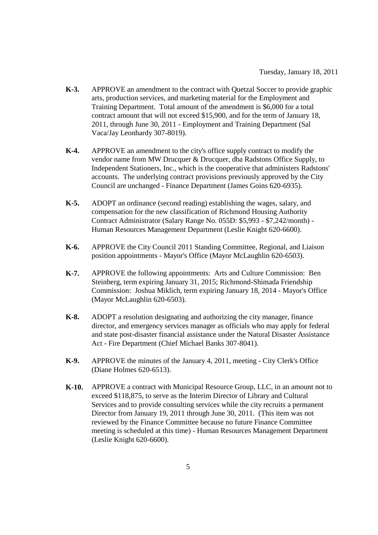- **K-3.** APPROVE an amendment to the contract with Quetzal Soccer to provide graphic arts, production services, and marketing material for the Employment and Training Department. Total amount of the amendment is \$6,000 for a total contract amount that will not exceed \$15,900, and for the term of January 18, 2011, through June 30, 2011 - Employment and Training Department (Sal Vaca/Jay Leonhardy 307-8019).
- **K-4.** APPROVE an amendment to the city's office supply contract to modify the vendor name from MW Drucquer & Drucquer, dba Radstons Office Supply, to Independent Stationers, Inc., which is the cooperative that administers Radstons' accounts. The underlying contract provisions previously approved by the City Council are unchanged - Finance Department (James Goins 620-6935).
- **K-5.** ADOPT an ordinance (second reading) establishing the wages, salary, and compensation for the new classification of Richmond Housing Authority Contract Administrator (Salary Range No. 055D: \$5,993 - \$7,242/month) - Human Resources Management Department (Leslie Knight 620-6600).
- **K-6.** APPROVE the City Council 2011 Standing Committee, Regional, and Liaison position appointments - Mayor's Office (Mayor McLaughlin 620-6503).
- **K-7.** APPROVE the following appointments: Arts and Culture Commission: Ben Steinberg, term expiring January 31, 2015; Richmond-Shimada Friendship Commission: Joshua Miklich, term expiring January 18, 2014 - Mayor's Office (Mayor McLaughlin 620-6503).
- **K-8.** ADOPT a resolution designating and authorizing the city manager, finance director, and emergency services manager as officials who may apply for federal and state post-disaster financial assistance under the Natural Disaster Assistance Act - Fire Department (Chief Michael Banks 307-8041).
- **K-9.** APPROVE the minutes of the January 4, 2011, meeting City Clerk's Office (Diane Holmes 620-6513).
- **K-10.** APPROVE a contract with Municipal Resource Group, LLC, in an amount not to exceed \$118,875, to serve as the Interim Director of Library and Cultural Services and to provide consulting services while the city recruits a permanent Director from January 19, 2011 through June 30, 2011. (This item was not reviewed by the Finance Committee because no future Finance Committee meeting is scheduled at this time) - Human Resources Management Department (Leslie Knight 620-6600).